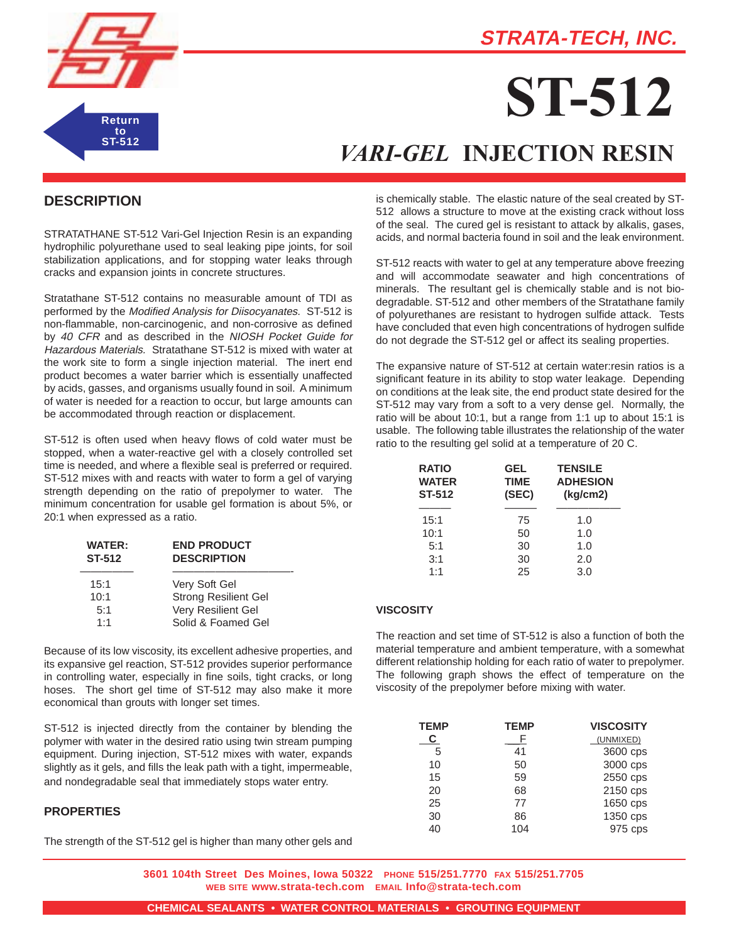

## **STRATA-TECH, INC.**

# **ST-512**

## *VARI-GEL* **INJECTION RESIN**

### **DESCRIPTION**

STRATATHANE ST-512 Vari-Gel Injection Resin is an expanding hydrophilic polyurethane used to seal leaking pipe joints, for soil stabilization applications, and for stopping water leaks through cracks and expansion joints in concrete structures.

Stratathane ST-512 contains no measurable amount of TDI as performed by the Modified Analysis for Diisocyanates. ST-512 is non-flammable, non-carcinogenic, and non-corrosive as defined by 40 CFR and as described in the NIOSH Pocket Guide for Hazardous Materials. Stratathane ST-512 is mixed with water at the work site to form a single injection material. The inert end product becomes a water barrier which is essentially unaffected by acids, gasses, and organisms usually found in soil. A minimum of water is needed for a reaction to occur, but large amounts can be accommodated through reaction or displacement.

ST-512 is often used when heavy flows of cold water must be stopped, when a water-reactive gel with a closely controlled set time is needed, and where a flexible seal is preferred or required. ST-512 mixes with and reacts with water to form a gel of varying strength depending on the ratio of prepolymer to water. The minimum concentration for usable gel formation is about 5%, or 20:1 when expressed as a ratio.

| <b>WATER:</b><br>ST-512 | <b>END PRODUCT</b><br><b>DESCRIPTION</b> |
|-------------------------|------------------------------------------|
| 15:1                    | Very Soft Gel                            |
| 10:1                    | <b>Strong Resilient Gel</b>              |
| 5:1                     | Very Resilient Gel                       |
| 1:1                     | Solid & Foamed Gel                       |

Because of its low viscosity, its excellent adhesive properties, and its expansive gel reaction, ST-512 provides superior performance in controlling water, especially in fine soils, tight cracks, or long hoses. The short gel time of ST-512 may also make it more economical than grouts with longer set times.

ST-512 is injected directly from the container by blending the polymer with water in the desired ratio using twin stream pumping equipment. During injection, ST-512 mixes with water, expands slightly as it gels, and fills the leak path with a tight, impermeable, and nondegradable seal that immediately stops water entry.

#### **PROPERTIES**

The strength of the ST-512 gel is higher than many other gels and

is chemically stable. The elastic nature of the seal created by ST-512 allows a structure to move at the existing crack without loss of the seal. The cured gel is resistant to attack by alkalis, gases, acids, and normal bacteria found in soil and the leak environment.

ST-512 reacts with water to gel at any temperature above freezing and will accommodate seawater and high concentrations of minerals. The resultant gel is chemically stable and is not biodegradable. ST-512 and other members of the Stratathane family of polyurethanes are resistant to hydrogen sulfide attack. Tests have concluded that even high concentrations of hydrogen sulfide do not degrade the ST-512 gel or affect its sealing properties.

The expansive nature of ST-512 at certain water:resin ratios is a significant feature in its ability to stop water leakage. Depending on conditions at the leak site, the end product state desired for the ST-512 may vary from a soft to a very dense gel. Normally, the ratio will be about 10:1, but a range from 1:1 up to about 15:1 is usable. The following table illustrates the relationship of the water ratio to the resulting gel solid at a temperature of 20 C.

| <b>RATIO</b><br><b>WATER</b><br><b>ST-512</b> | GEL<br><b>TIME</b><br>(SEC) | <b>TENSILE</b><br><b>ADHESION</b><br>(kq/cm2) |
|-----------------------------------------------|-----------------------------|-----------------------------------------------|
| 15:1                                          | 75                          | 1.0                                           |
| 10:1                                          | 50                          | 1.0                                           |
| 5:1                                           | 30                          | 1.0                                           |
| 3:1                                           | 30                          | 2.0                                           |
| 1:1                                           | 25                          | 3.0                                           |

#### **VISCOSITY**

The reaction and set time of ST-512 is also a function of both the material temperature and ambient temperature, with a somewhat different relationship holding for each ratio of water to prepolymer. The following graph shows the effect of temperature on the viscosity of the prepolymer before mixing with water.

| <b>TEMP</b> | <b>TEMP</b> | <b>VISCOSITY</b> |
|-------------|-------------|------------------|
| C.          |             | (UNMIXED)        |
| 5           | 41          | 3600 cps         |
| 10          | 50          | 3000 cps         |
| 15          | 59          | 2550 cps         |
| 20          | 68          | 2150 cps         |
| 25          | 77          | 1650 cps         |
| 30          | 86          | 1350 cps         |
| 40          | 104         | 975 cps          |

**3601 104th Street Des Moines, Iowa 50322 PHONE 515/251.7770 FAX 515/251.7705 WEB SITE www.strata-tech.com EMAIL Info@strata-tech.com**